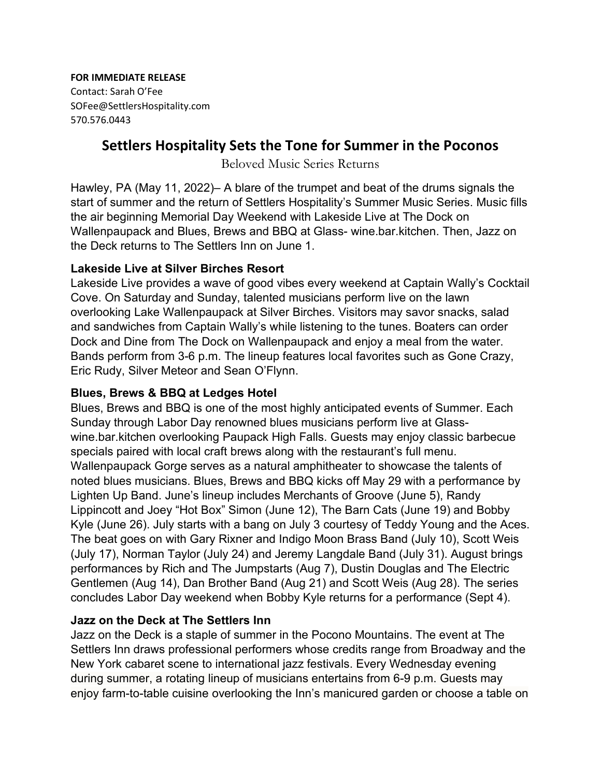**FOR IMMEDIATE RELEASE**

Contact: Sarah O'Fee SOFee@SettlersHospitality.com 570.576.0443

# **Settlers Hospitality Sets the Tone for Summer in the Poconos**

Beloved Music Series Returns

Hawley, PA (May 11, 2022)– A blare of the trumpet and beat of the drums signals the start of summer and the return of Settlers Hospitality's Summer Music Series. Music fills the air beginning Memorial Day Weekend with Lakeside Live at The Dock on Wallenpaupack and Blues, Brews and BBQ at Glass- wine.bar.kitchen. Then, Jazz on the Deck returns to The Settlers Inn on June 1.

#### **Lakeside Live at Silver Birches Resort**

Lakeside Live provides a wave of good vibes every weekend at Captain Wally's Cocktail Cove. On Saturday and Sunday, talented musicians perform live on the lawn overlooking Lake Wallenpaupack at Silver Birches. Visitors may savor snacks, salad and sandwiches from Captain Wally's while listening to the tunes. Boaters can order Dock and Dine from The Dock on Wallenpaupack and enjoy a meal from the water. Bands perform from 3-6 p.m. The lineup features local favorites such as Gone Crazy, Eric Rudy, Silver Meteor and Sean O'Flynn.

### **Blues, Brews & BBQ at Ledges Hotel**

Blues, Brews and BBQ is one of the most highly anticipated events of Summer. Each Sunday through Labor Day renowned blues musicians perform live at Glasswine.bar.kitchen overlooking Paupack High Falls. Guests may enjoy classic barbecue specials paired with local craft brews along with the restaurant's full menu. Wallenpaupack Gorge serves as a natural amphitheater to showcase the talents of noted blues musicians. [Blues, Brews and BBQ](https://ledgeshotel.com/blues-brews-and-bbq) kicks off May 29 with a performance by Lighten Up Band. June's lineup includes Merchants of Groove (June 5), Randy Lippincott and Joey "Hot Box" Simon (June 12), The Barn Cats (June 19) and Bobby Kyle (June 26). July starts with a bang on July 3 courtesy of Teddy Young and the Aces. The beat goes on with Gary Rixner and Indigo Moon Brass Band (July 10), Scott Weis (July 17), Norman Taylor (July 24) and Jeremy Langdale Band (July 31). August brings performances by Rich and The Jumpstarts (Aug 7), Dustin Douglas and The Electric Gentlemen (Aug 14), Dan Brother Band (Aug 21) and Scott Weis (Aug 28). The series concludes Labor Day weekend when Bobby Kyle returns for a performance (Sept 4).

## **Jazz on the Deck at The Settlers Inn**

Jazz on the Deck is a staple of summer in the Pocono Mountains. The event at The Settlers Inn draws professional performers whose credits range from Broadway and the New York cabaret scene to international jazz festivals. Every Wednesday evening during summer, a rotating lineup of musicians entertains from 6-9 p.m. Guests may enjoy farm-to-table cuisine overlooking the Inn's manicured garden or choose a table on